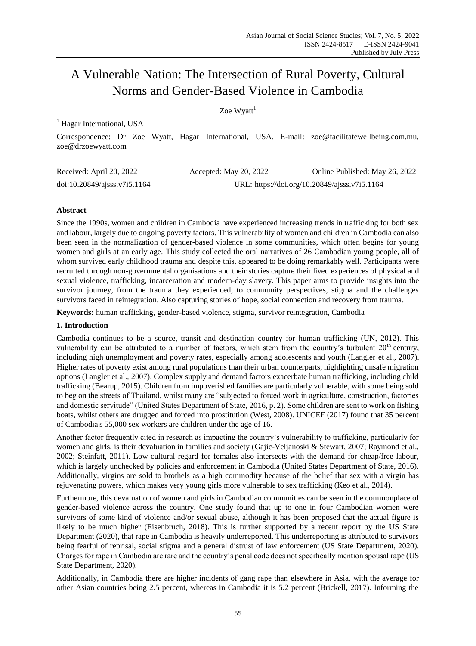# A Vulnerable Nation: The Intersection of Rural Poverty, Cultural Norms and Gender-Based Violence in Cambodia

# Zoe  $W$ yatt<sup>1</sup>

 $<sup>1</sup>$  Hagar International, USA</sup>

Correspondence: Dr Zoe Wyatt, Hagar International, USA. E-mail: zoe@facilitatewellbeing.com.mu, zoe@drzoewyatt.com

| Received: April 20, 2022         | Accepted: May 20, 2022                        | Online Published: May 26, 2022 |
|----------------------------------|-----------------------------------------------|--------------------------------|
| $doi:10.20849/a$ jsss. v7i5.1164 | URL: https://doi.org/10.20849/ajsss.v7i5.1164 |                                |

## **Abstract**

Since the 1990s, women and children in Cambodia have experienced increasing trends in trafficking for both sex and labour, largely due to ongoing poverty factors. This vulnerability of women and children in Cambodia can also been seen in the normalization of gender-based violence in some communities, which often begins for young women and girls at an early age. This study collected the oral narratives of 26 Cambodian young people, all of whom survived early childhood trauma and despite this, appeared to be doing remarkably well. Participants were recruited through non-governmental organisations and their stories capture their lived experiences of physical and sexual violence, trafficking, incarceration and modern-day slavery. This paper aims to provide insights into the survivor journey, from the trauma they experienced, to community perspectives, stigma and the challenges survivors faced in reintegration. Also capturing stories of hope, social connection and recovery from trauma.

**Keywords:** human trafficking, gender-based violence, stigma, survivor reintegration, Cambodia

### **1. Introduction**

Cambodia continues to be a source, transit and destination country for human trafficking (UN, 2012). This vulnerability can be attributed to a number of factors, which stem from the country's turbulent  $20<sup>th</sup>$  century, including high unemployment and poverty rates, especially among adolescents and youth (Langler et al., 2007). Higher rates of poverty exist among rural populations than their urban counterparts, highlighting unsafe migration options (Langler et al., 2007). Complex supply and demand factors exacerbate human trafficking, including child trafficking (Bearup, 2015). Children from impoverished families are particularly vulnerable, with some being sold to beg on the streets of Thailand, whilst many are "subjected to forced work in agriculture, construction, factories and domestic servitude" (United States Department of State, 2016, p. 2). Some children are sent to work on fishing boats, whilst others are drugged and forced into prostitution (West, 2008). UNICEF (2017) found that 35 percent of Cambodia's 55,000 sex workers are children under the age of 16.

Another factor frequently cited in research as impacting the country's vulnerability to trafficking, particularly for women and girls, is their devaluation in families and society (Gajic-Veljanoski & Stewart, 2007; Raymond et al., 2002; Steinfatt, 2011). Low cultural regard for females also intersects with the demand for cheap/free labour, which is largely unchecked by policies and enforcement in Cambodia (United States Department of State, 2016). Additionally, virgins are sold to brothels as a high commodity because of the belief that sex with a virgin has rejuvenating powers, which makes very young girls more vulnerable to sex trafficking (Keo et al., 2014).

Furthermore, this devaluation of women and girls in Cambodian communities can be seen in the commonplace of gender-based violence across the country. One study found that up to one in four Cambodian women were survivors of some kind of violence and/or sexual abuse, although it has been proposed that the actual figure is likely to be much higher (Eisenbruch, 2018). This is further supported by a recent report by the US State Department (2020), that rape in Cambodia is heavily underreported. This underreporting is attributed to survivors being fearful of reprisal, social stigma and a general distrust of law enforcement (US State Department, 2020). Charges for rape in Cambodia are rare and the country's penal code does not specifically mention spousal rape (US State Department, 2020).

Additionally, in Cambodia there are higher incidents of gang rape than elsewhere in Asia, with the average for other Asian countries being 2.5 percent, whereas in Cambodia it is 5.2 percent (Brickell, 2017). Informing the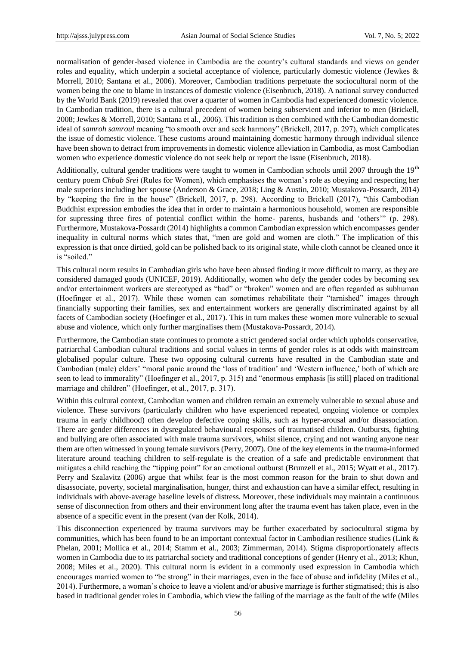normalisation of gender-based violence in Cambodia are the country's cultural standards and views on gender roles and equality, which underpin a societal acceptance of violence, particularly domestic violence (Jewkes & Morrell, 2010; Santana et al., 2006). Moreover, Cambodian traditions perpetuate the sociocultural norm of the women being the one to blame in instances of domestic violence (Eisenbruch, 2018). A national survey conducted by the World Bank (2019) revealed that over a quarter of women in Cambodia had experienced domestic violence. In Cambodian tradition, there is a cultural precedent of women being subservient and inferior to men (Brickell, 2008; Jewkes & Morrell, 2010; Santana et al., 2006). This tradition is then combined with the Cambodian domestic ideal of *samroh samroul* meaning "to smooth over and seek harmony" (Brickell, 2017, p. 297), which complicates the issue of domestic violence. These customs around maintaining domestic harmony through individual silence have been shown to detract from improvements in domestic violence alleviation in Cambodia, as most Cambodian women who experience domestic violence do not seek help or report the issue (Eisenbruch, 2018).

Additionally, cultural gender traditions were taught to women in Cambodian schools until 2007 through the  $19<sup>th</sup>$ century poem *Chbab Srei* (Rules for Women), which emphasises the woman's role as obeying and respecting her male superiors including her spouse (Anderson & Grace, 2018; Ling & Austin, 2010; Mustakova-Possardt, 2014) by "keeping the fire in the house" (Brickell, 2017, p. 298). According to Brickell (2017), "this Cambodian Buddhist expression embodies the idea that in order to maintain a harmonious household, women are responsible for supressing three fires of potential conflict within the home- parents, husbands and 'others'" (p. 298). Furthermore, Mustakova-Possardt (2014) highlights a common Cambodian expression which encompasses gender inequality in cultural norms which states that, "men are gold and women are cloth." The implication of this expression is that once dirtied, gold can be polished back to its original state, while cloth cannot be cleaned once it is "soiled."

This cultural norm results in Cambodian girls who have been abused finding it more difficult to marry, as they are considered damaged goods (UNICEF, 2019). Additionally, women who defy the gender codes by becoming sex and/or entertainment workers are stereotyped as "bad" or "broken" women and are often regarded as subhuman (Hoefinger et al., 2017). While these women can sometimes rehabilitate their "tarnished" images through financially supporting their families, sex and entertainment workers are generally discriminated against by all facets of Cambodian society (Hoefinger et al., 2017). This in turn makes these women more vulnerable to sexual abuse and violence, which only further marginalises them (Mustakova-Possardt, 2014).

Furthermore, the Cambodian state continues to promote a strict gendered social order which upholds conservative, patriarchal Cambodian cultural traditions and social values in terms of gender roles is at odds with mainstream globalised popular culture. These two opposing cultural currents have resulted in the Cambodian state and Cambodian (male) elders' "moral panic around the 'loss of tradition' and 'Western influence,' both of which are seen to lead to immorality" (Hoefinger et al., 2017, p. 315) and "enormous emphasis [is still] placed on traditional marriage and children" (Hoefinger, et al., 2017, p. 317).

Within this cultural context, Cambodian women and children remain an extremely vulnerable to sexual abuse and violence. These survivors (particularly children who have experienced repeated, ongoing violence or complex trauma in early childhood) often develop defective coping skills, such as hyper-arousal and/or disassociation. There are gender differences in dysregulated behavioural responses of traumatised children. Outbursts, fighting and bullying are often associated with male trauma survivors, whilst silence, crying and not wanting anyone near them are often witnessed in young female survivors (Perry, 2007). One of the key elements in the trauma-informed literature around teaching children to self-regulate is the creation of a safe and predictable environment that mitigates a child reaching the "tipping point" for an emotional outburst (Brunzell et al., 2015; Wyatt et al., 2017). Perry and Szalavitz (2006) argue that whilst fear is the most common reason for the brain to shut down and disassociate, poverty, societal marginalisation, hunger, thirst and exhaustion can have a similar effect, resulting in individuals with above-average baseline levels of distress. Moreover, these individuals may maintain a continuous sense of disconnection from others and their environment long after the trauma event has taken place, even in the absence of a specific event in the present (van der Kolk, 2014).

This disconnection experienced by trauma survivors may be further exacerbated by sociocultural stigma by communities, which has been found to be an important contextual factor in Cambodian resilience studies (Link & Phelan, 2001; Mollica et al., 2014; Stamm et al., 2003; Zimmerman, 2014). Stigma disproportionately affects women in Cambodia due to its patriarchal society and traditional conceptions of gender (Henry et al., 2013; Khun, 2008; Miles et al., 2020). This cultural norm is evident in a commonly used expression in Cambodia which encourages married women to "be strong" in their marriages, even in the face of abuse and infidelity (Miles et al., 2014). Furthermore, a woman's choice to leave a violent and/or abusive marriage is further stigmatised; this is also based in traditional gender roles in Cambodia, which view the failing of the marriage as the fault of the wife (Miles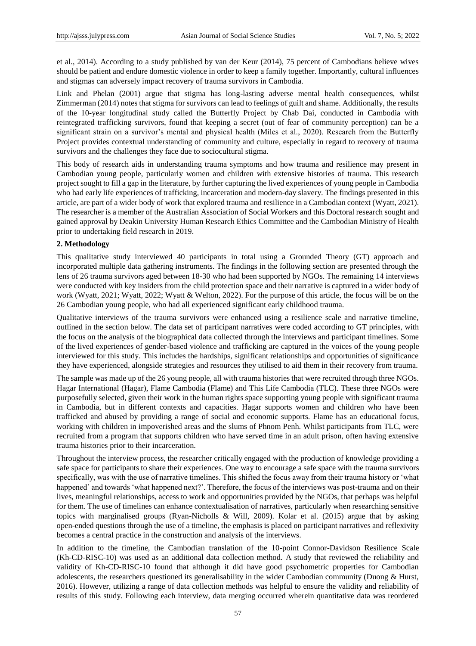et al., 2014). According to a study published by van der Keur (2014), 75 percent of Cambodians believe wives should be patient and endure domestic violence in order to keep a family together. Importantly, cultural influences and stigmas can adversely impact recovery of trauma survivors in Cambodia.

Link and Phelan (2001) argue that stigma has long-lasting adverse mental health consequences, whilst Zimmerman (2014) notes that stigma for survivors can lead to feelings of guilt and shame. Additionally, the results of the 10-year longitudinal study called the Butterfly Project by Chab Dai, conducted in Cambodia with reintegrated trafficking survivors, found that keeping a secret (out of fear of community perception) can be a significant strain on a survivor's mental and physical health (Miles et al., 2020). Research from the Butterfly Project provides contextual understanding of community and culture, especially in regard to recovery of trauma survivors and the challenges they face due to sociocultural stigma.

This body of research aids in understanding trauma symptoms and how trauma and resilience may present in Cambodian young people, particularly women and children with extensive histories of trauma. This research project sought to fill a gap in the literature, by further capturing the lived experiences of young people in Cambodia who had early life experiences of trafficking, incarceration and modern-day slavery. The findings presented in this article, are part of a wider body of work that explored trauma and resilience in a Cambodian context (Wyatt, 2021). The researcher is a member of the Australian Association of Social Workers and this Doctoral research sought and gained approval by Deakin University Human Research Ethics Committee and the Cambodian Ministry of Health prior to undertaking field research in 2019.

#### **2. Methodology**

This qualitative study interviewed 40 participants in total using a Grounded Theory (GT) approach and incorporated multiple data gathering instruments. The findings in the following section are presented through the lens of 26 trauma survivors aged between 18-30 who had been supported by NGOs. The remaining 14 interviews were conducted with key insiders from the child protection space and their narrative is captured in a wider body of work (Wyatt, 2021; Wyatt, 2022; Wyatt & Welton, 2022). For the purpose of this article, the focus will be on the 26 Cambodian young people, who had all experienced significant early childhood trauma.

Qualitative interviews of the trauma survivors were enhanced using a resilience scale and narrative timeline, outlined in the section below. The data set of participant narratives were coded according to GT principles, with the focus on the analysis of the biographical data collected through the interviews and participant timelines. Some of the lived experiences of gender-based violence and trafficking are captured in the voices of the young people interviewed for this study. This includes the hardships, significant relationships and opportunities of significance they have experienced, alongside strategies and resources they utilised to aid them in their recovery from trauma.

The sample was made up of the 26 young people, all with trauma histories that were recruited through three NGOs. Hagar International (Hagar), Flame Cambodia (Flame) and This Life Cambodia (TLC). These three NGOs were purposefully selected, given their work in the human rights space supporting young people with significant trauma in Cambodia, but in different contexts and capacities. Hagar supports women and children who have been trafficked and abused by providing a range of social and economic supports. Flame has an educational focus, working with children in impoverished areas and the slums of Phnom Penh. Whilst participants from TLC, were recruited from a program that supports children who have served time in an adult prison, often having extensive trauma histories prior to their incarceration.

Throughout the interview process, the researcher critically engaged with the production of knowledge providing a safe space for participants to share their experiences. One way to encourage a safe space with the trauma survivors specifically, was with the use of narrative timelines. This shifted the focus away from their trauma history or 'what happened' and towards 'what happened next?'. Therefore, the focus of the interviews was post-trauma and on their lives, meaningful relationships, access to work and opportunities provided by the NGOs, that perhaps was helpful for them. The use of timelines can enhance contextualisation of narratives, particularly when researching sensitive topics with marginalised groups (Ryan-Nicholls & Will, 2009). Kolar et al. (2015) argue that by asking open-ended questions through the use of a timeline, the emphasis is placed on participant narratives and reflexivity becomes a central practice in the construction and analysis of the interviews.

In addition to the timeline, the Cambodian translation of the 10-point Connor-Davidson Resilience Scale (Kh-CD-RISC-10) was used as an additional data collection method. A study that reviewed the reliability and validity of Kh-CD-RISC-10 found that although it did have good psychometric properties for Cambodian adolescents, the researchers questioned its generalisability in the wider Cambodian community (Duong & Hurst, 2016). However, utilizing a range of data collection methods was helpful to ensure the validity and reliability of results of this study. Following each interview, data merging occurred wherein quantitative data was reordered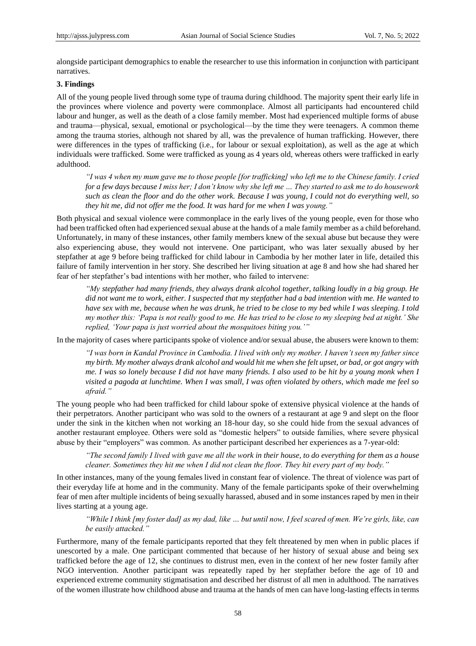alongside participant demographics to enable the researcher to use this information in conjunction with participant narratives.

## **3. Findings**

All of the young people lived through some type of trauma during childhood. The majority spent their early life in the provinces where violence and poverty were commonplace. Almost all participants had encountered child labour and hunger, as well as the death of a close family member. Most had experienced multiple forms of abuse and trauma—physical, sexual, emotional or psychological—by the time they were teenagers. A common theme among the trauma stories, although not shared by all, was the prevalence of human trafficking. However, there were differences in the types of trafficking (i.e., for labour or sexual exploitation), as well as the age at which individuals were trafficked. Some were trafficked as young as 4 years old, whereas others were trafficked in early adulthood.

*"I was 4 when my mum gave me to those people [for trafficking] who left me to the Chinese family. I cried for a few days because I miss her; I don"t know why she left me … They started to ask me to do housework such as clean the floor and do the other work. Because I was young, I could not do everything well, so they hit me, did not offer me the food. It was hard for me when I was young."* 

Both physical and sexual violence were commonplace in the early lives of the young people, even for those who had been trafficked often had experienced sexual abuse at the hands of a male family member as a child beforehand. Unfortunately, in many of these instances, other family members knew of the sexual abuse but because they were also experiencing abuse, they would not intervene. One participant, who was later sexually abused by her stepfather at age 9 before being trafficked for child labour in Cambodia by her mother later in life, detailed this failure of family intervention in her story. She described her living situation at age 8 and how she had shared her fear of her stepfather's bad intentions with her mother, who failed to intervene:

*"My stepfather had many friends, they always drank alcohol together, talking loudly in a big group. He did not want me to work, either. I suspected that my stepfather had a bad intention with me. He wanted to have sex with me, because when he was drunk, he tried to be close to my bed while I was sleeping. I told my mother this: "Papa is not really good to me. He has tried to be close to my sleeping bed at night." She replied, "Your papa is just worried about the mosquitoes biting you.""*

In the majority of cases where participants spoke of violence and/or sexual abuse, the abusers were known to them:

*"I was born in Kandal Province in Cambodia. I lived with only my mother. I haven"t seen my father since my birth. My mother always drank alcohol and would hit me when she felt upset, or bad, or got angry with me. I was so lonely because I did not have many friends. I also used to be hit by a young monk when I visited a pagoda at lunchtime. When I was small, I was often violated by others, which made me feel so afraid."* 

The young people who had been trafficked for child labour spoke of extensive physical violence at the hands of their perpetrators. Another participant who was sold to the owners of a restaurant at age 9 and slept on the floor under the sink in the kitchen when not working an 18-hour day, so she could hide from the sexual advances of another restaurant employee. Others were sold as "domestic helpers" to outside families, where severe physical abuse by their "employers" was common. As another participant described her experiences as a 7-year-old:

*"The second family I lived with gave me all the work in their house, to do everything for them as a house cleaner. Sometimes they hit me when I did not clean the floor. They hit every part of my body."*

In other instances, many of the young females lived in constant fear of violence. The threat of violence was part of their everyday life at home and in the community. Many of the female participants spoke of their overwhelming fear of men after multiple incidents of being sexually harassed, abused and in some instances raped by men in their lives starting at a young age.

*"While I think [my foster dad] as my dad, like … but until now, I feel scared of men. We"re girls, like, can be easily attacked."* 

Furthermore, many of the female participants reported that they felt threatened by men when in public places if unescorted by a male. One participant commented that because of her history of sexual abuse and being sex trafficked before the age of 12, she continues to distrust men, even in the context of her new foster family after NGO intervention. Another participant was repeatedly raped by her stepfather before the age of 10 and experienced extreme community stigmatisation and described her distrust of all men in adulthood. The narratives of the women illustrate how childhood abuse and trauma at the hands of men can have long-lasting effects in terms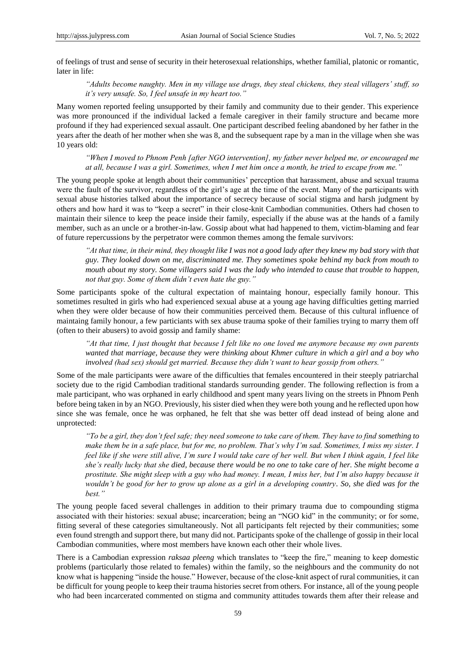of feelings of trust and sense of security in their heterosexual relationships, whether familial, platonic or romantic, later in life:

*"Adults become naughty. Men in my village use drugs, they steal chickens, they steal villagers" stuff, so it"s very unsafe. So, I feel unsafe in my heart too."* 

Many women reported feeling unsupported by their family and community due to their gender. This experience was more pronounced if the individual lacked a female caregiver in their family structure and became more profound if they had experienced sexual assault. One participant described feeling abandoned by her father in the years after the death of her mother when she was 8, and the subsequent rape by a man in the village when she was 10 years old:

*"When I moved to Phnom Penh [after NGO intervention], my father never helped me, or encouraged me at all, because I was a girl. Sometimes, when I met him once a month, he tried to escape from me."*

The young people spoke at length about their communities' perception that harassment, abuse and sexual trauma were the fault of the survivor, regardless of the girl's age at the time of the event. Many of the participants with sexual abuse histories talked about the importance of secrecy because of social stigma and harsh judgment by others and how hard it was to "keep a secret" in their close-knit Cambodian communities. Others had chosen to maintain their silence to keep the peace inside their family, especially if the abuse was at the hands of a family member, such as an uncle or a brother-in-law. Gossip about what had happened to them, victim-blaming and fear of future repercussions by the perpetrator were common themes among the female survivors:

*"At that time, in their mind, they thought like I was not a good lady after they knew my bad story with that guy. They looked down on me, discriminated me. They sometimes spoke behind my back from mouth to mouth about my story. Some villagers said I was the lady who intended to cause that trouble to happen, not that guy. Some of them didn"t even hate the guy."*

Some participants spoke of the cultural expectation of maintaing honour, especially family honour. This sometimes resulted in girls who had experienced sexual abuse at a young age having difficulties getting married when they were older because of how their communities perceived them. Because of this cultural influence of maintaing family honour, a few particiants with sex abuse trauma spoke of their families trying to marry them off (often to their abusers) to avoid gossip and family shame:

*"At that time, I just thought that because I felt like no one loved me anymore because my own parents wanted that marriage, because they were thinking about Khmer culture in which a girl and a boy who involved (had sex) should get married. Because they didn"t want to hear gossip from others."*

Some of the male participants were aware of the difficulties that females encountered in their steeply patriarchal society due to the rigid Cambodian traditional standards surrounding gender. The following reflection is from a male participant, who was orphaned in early childhood and spent many years living on the streets in Phnom Penh before being taken in by an NGO. Previously, his sister died when they were both young and he reflected upon how since she was female, once he was orphaned, he felt that she was better off dead instead of being alone and unprotected:

*"To be a girl, they don"t feel safe; they need someone to take care of them. They have to find something to make them be in a safe place, but for me, no problem. That"s why I"m sad. Sometimes, I miss my sister. I feel like if she were still alive, I'm sure I would take care of her well. But when I think again, I feel like she"s really lucky that she died, because there would be no one to take care of her. She might become a prostitute. She might sleep with a guy who had money. I mean, I miss her, but I"m also happy because it wouldn"t be good for her to grow up alone as a girl in a developing country. So, she died was for the best."*

The young people faced several challenges in addition to their primary trauma due to compounding stigma associated with their histories: sexual abuse; incarceration; being an "NGO kid" in the community; or for some, fitting several of these categories simultaneously. Not all participants felt rejected by their communities; some even found strength and support there, but many did not. Participants spoke of the challenge of gossip in their local Cambodian communities, where most members have known each other their whole lives.

There is a Cambodian expression *raksaa pleeng* which translates to "keep the fire," meaning to keep domestic problems (particularly those related to females) within the family, so the neighbours and the community do not know what is happening "inside the house." However, because of the close-knit aspect of rural communities, it can be difficult for young people to keep their trauma histories secret from others. For instance, all of the young people who had been incarcerated commented on stigma and community attitudes towards them after their release and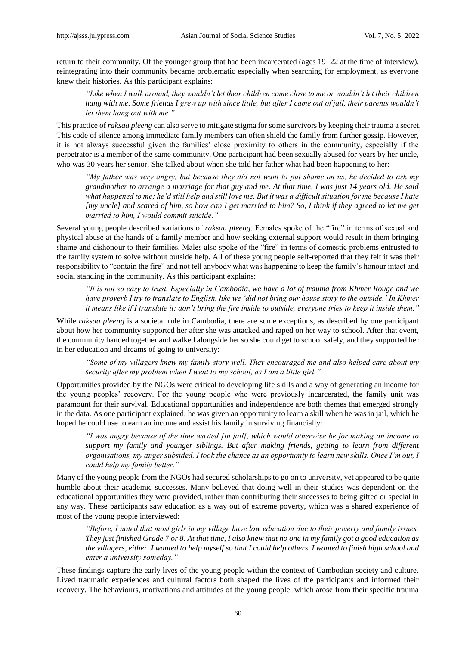return to their community. Of the younger group that had been incarcerated (ages 19–22 at the time of interview), reintegrating into their community became problematic especially when searching for employment, as everyone knew their histories. As this participant explains:

*"Like when I walk around, they wouldn"t let their children come close to me or wouldn"t let their children hang with me. Some friends I grew up with since little, but after I came out of jail, their parents wouldn't let them hang out with me."*

This practice of *raksaa pleeng* can also serve to mitigate stigma for some survivors by keeping their trauma a secret. This code of silence among immediate family members can often shield the family from further gossip. However, it is not always successful given the families' close proximity to others in the community, especially if the perpetrator is a member of the same community. One participant had been sexually abused for years by her uncle, who was 30 years her senior. She talked about when she told her father what had been happening to her:

*"My father was very angry, but because they did not want to put shame on us, he decided to ask my grandmother to arrange a marriage for that guy and me. At that time, I was just 14 years old. He said what happened to me; he"d still help and still love me. But it was a difficult situation for me because I hate [my uncle] and scared of him, so how can I get married to him? So, I think if they agreed to let me get married to him, I would commit suicide."* 

Several young people described variations of *raksaa pleeng*. Females spoke of the "fire" in terms of sexual and physical abuse at the hands of a family member and how seeking external support would result in them bringing shame and dishonour to their families. Males also spoke of the "fire" in terms of domestic problems entrusted to the family system to solve without outside help. All of these young people self-reported that they felt it was their responsibility to "contain the fire" and not tell anybody what was happening to keep the family's honour intact and social standing in the community. As this participant explains:

*"It is not so easy to trust. Especially in Cambodia, we have a lot of trauma from Khmer Rouge and we have proverb I try to translate to English, like we "did not bring our house story to the outside." In Khmer it means like if I translate it: don"t bring the fire inside to outside, everyone tries to keep it inside them."* 

While *raksaa pleeng* is a societal rule in Cambodia, there are some exceptions, as described by one participant about how her community supported her after she was attacked and raped on her way to school. After that event, the community banded together and walked alongside her so she could get to school safely, and they supported her in her education and dreams of going to university:

*"Some of my villagers knew my family story well. They encouraged me and also helped care about my security after my problem when I went to my school, as I am a little girl."*

Opportunities provided by the NGOs were critical to developing life skills and a way of generating an income for the young peoples' recovery. For the young people who were previously incarcerated, the family unit was paramount for their survival. Educational opportunities and independence are both themes that emerged strongly in the data. As one participant explained, he was given an opportunity to learn a skill when he was in jail, which he hoped he could use to earn an income and assist his family in surviving financially:

*"I was angry because of the time wasted [in jail], which would otherwise be for making an income to support my family and younger siblings. But after making friends, getting to learn from different organisations, my anger subsided. I took the chance as an opportunity to learn new skills. Once I"m out, I could help my family better."*

Many of the young people from the NGOs had secured scholarships to go on to university, yet appeared to be quite humble about their academic successes. Many believed that doing well in their studies was dependent on the educational opportunities they were provided, rather than contributing their successes to being gifted or special in any way. These participants saw education as a way out of extreme poverty, which was a shared experience of most of the young people interviewed:

*"Before, I noted that most girls in my village have low education due to their poverty and family issues. They just finished Grade 7 or 8. At that time, I also knew that no one in my family got a good education as the villagers, either. I wanted to help myself so that I could help others. I wanted to finish high school and enter a university someday."*

These findings capture the early lives of the young people within the context of Cambodian society and culture. Lived traumatic experiences and cultural factors both shaped the lives of the participants and informed their recovery. The behaviours, motivations and attitudes of the young people, which arose from their specific trauma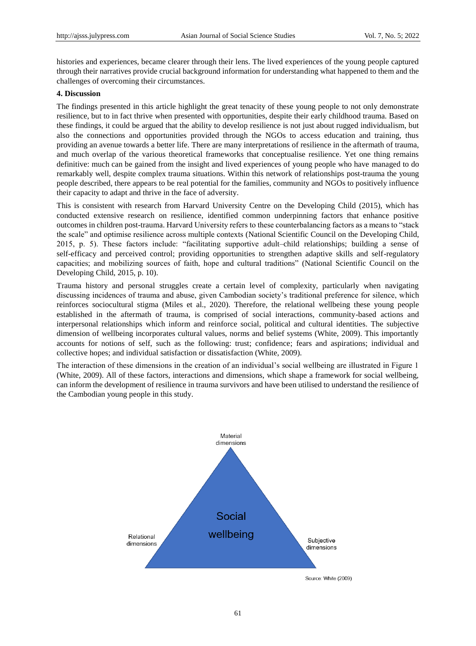histories and experiences, became clearer through their lens. The lived experiences of the young people captured through their narratives provide crucial background information for understanding what happened to them and the challenges of overcoming their circumstances.

#### **4. Discussion**

The findings presented in this article highlight the great tenacity of these young people to not only demonstrate resilience, but to in fact thrive when presented with opportunities, despite their early childhood trauma. Based on these findings, it could be argued that the ability to develop resilience is not just about rugged individualism, but also the connections and opportunities provided through the NGOs to access education and training, thus providing an avenue towards a better life. There are many interpretations of resilience in the aftermath of trauma, and much overlap of the various theoretical frameworks that conceptualise resilience. Yet one thing remains definitive: much can be gained from the insight and lived experiences of young people who have managed to do remarkably well, despite complex trauma situations. Within this network of relationships post-trauma the young people described, there appears to be real potential for the families, community and NGOs to positively influence their capacity to adapt and thrive in the face of adversity.

This is consistent with research from Harvard University Centre on the Developing Child (2015), which has conducted extensive research on resilience, identified common underpinning factors that enhance positive outcomes in children post-trauma. Harvard University refers to these counterbalancing factors as a means to "stack the scale" and optimise resilience across multiple contexts (National Scientific Council on the Developing Child, 2015, p. 5). These factors include: "facilitating supportive adult–child relationships; building a sense of self-efficacy and perceived control; providing opportunities to strengthen adaptive skills and self-regulatory capacities; and mobilizing sources of faith, hope and cultural traditions‖ (National Scientific Council on the Developing Child, 2015, p. 10).

Trauma history and personal struggles create a certain level of complexity, particularly when navigating discussing incidences of trauma and abuse, given Cambodian society's traditional preference for silence, which reinforces sociocultural stigma (Miles et al., 2020). Therefore, the relational wellbeing these young people established in the aftermath of trauma, is comprised of social interactions, community-based actions and interpersonal relationships which inform and reinforce social, political and cultural identities. The subjective dimension of wellbeing incorporates cultural values, norms and belief systems (White, 2009). This importantly accounts for notions of self, such as the following: trust; confidence; fears and aspirations; individual and collective hopes; and individual satisfaction or dissatisfaction (White, 2009).

The interaction of these dimensions in the creation of an individual's social wellbeing are illustrated in Figure 1 (White, 2009). All of these factors, interactions and dimensions, which shape a framework for social wellbeing, can inform the development of resilience in trauma survivors and have been utilised to understand the resilience of the Cambodian young people in this study.

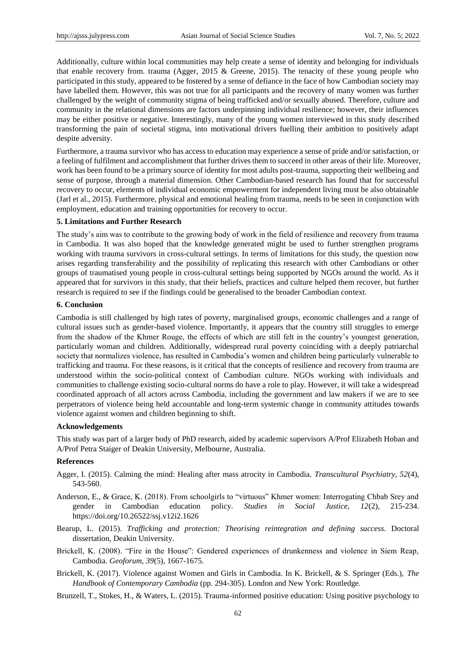Additionally, culture within local communities may help create a sense of identity and belonging for individuals that enable recovery from. trauma (Agger, 2015 & Greene, 2015). The tenacity of these young people who participated in this study, appeared to be fostered by a sense of defiance in the face of how Cambodian society may have labelled them. However, this was not true for all participants and the recovery of many women was further challenged by the weight of community stigma of being trafficked and/or sexually abused. Therefore, culture and community in the relational dimensions are factors underpinning individual resilience; however, their influences may be either positive or negative. Interestingly, many of the young women interviewed in this study described transforming the pain of societal stigma, into motivational drivers fuelling their ambition to positively adapt despite adversity.

Furthermore, a trauma survivor who has access to education may experience a sense of pride and/or satisfaction, or a feeling of fulfilment and accomplishment that further drives them to succeed in other areas of their life. Moreover, work has been found to be a primary source of identity for most adults post-trauma, supporting their wellbeing and sense of purpose, through a material dimension. Other Cambodian-based research has found that for successful recovery to occur, elements of individual economic empowerment for independent living must be also obtainable (Jarl et al., 2015). Furthermore, physical and emotional healing from trauma, needs to be seen in conjunction with employment, education and training opportunities for recovery to occur.

#### **5. Limitations and Further Research**

The study's aim was to contribute to the growing body of work in the field of resilience and recovery from trauma in Cambodia. It was also hoped that the knowledge generated might be used to further strengthen programs working with trauma survivors in cross-cultural settings. In terms of limitations for this study, the question now arises regarding transferability and the possibility of replicating this research with other Cambodians or other groups of traumatised young people in cross-cultural settings being supported by NGOs around the world. As it appeared that for survivors in this study, that their beliefs, practices and culture helped them recover, but further research is required to see if the findings could be generalised to the broader Cambodian context.

#### **6. Conclusion**

Cambodia is still challenged by high rates of poverty, marginalised groups, economic challenges and a range of cultural issues such as gender-based violence. Importantly, it appears that the country still struggles to emerge from the shadow of the Khmer Rouge, the effects of which are still felt in the country's youngest generation, particularly woman and children. Additionally, widespread rural poverty coinciding with a deeply patriarchal society that normalizes violence, has resulted in Cambodia's women and children being particularly vulnerable to trafficking and trauma. For these reasons, is it critical that the concepts of resilience and recovery from trauma are understood within the socio-political context of Cambodian culture. NGOs working with individuals and communities to challenge existing socio-cultural norms do have a role to play. However, it will take a widespread coordinated approach of all actors across Cambodia, including the government and law makers if we are to see perpetrators of violence being held accountable and long-term systemic change in community attitudes towards violence against women and children beginning to shift.

#### **Acknowledgements**

This study was part of a larger body of PhD research, aided by academic supervisors A/Prof Elizabeth Hoban and A/Prof Petra Staiger of Deakin University, Melbourne, Australia.

#### **References**

- Agger, I. (2015). Calming the mind: Healing after mass atrocity in Cambodia. *Transcultural Psychiatry, 52*(4), 543-560.
- Anderson, E., & Grace, K. (2018). From schoolgirls to "virtuous" Khmer women: Interrogating Chbab Srey and gender in Cambodian education policy. *Studies in Social Justice, 12*(2), 215-234. https://doi.org/10.26522/ssj.v12i2.1626
- Bearup, L. (2015). *Trafficking and protection: Theorising reintegration and defining success.* Doctoral dissertation, Deakin University.
- Brickell, K. (2008). "Fire in the House": Gendered experiences of drunkenness and violence in Siem Reap, Cambodia. *Geoforum, 39*(5), 1667-1675.
- Brickell, K. (2017). Violence against Women and Girls in Cambodia. In K. Brickell, & S. Springer (Eds.), *The Handbook of Contemporary Cambodia* (pp. 294-305). London and New York: Routledge.
- Brunzell, T., Stokes, H., & Waters, L. (2015). Trauma-informed positive education: Using positive psychology to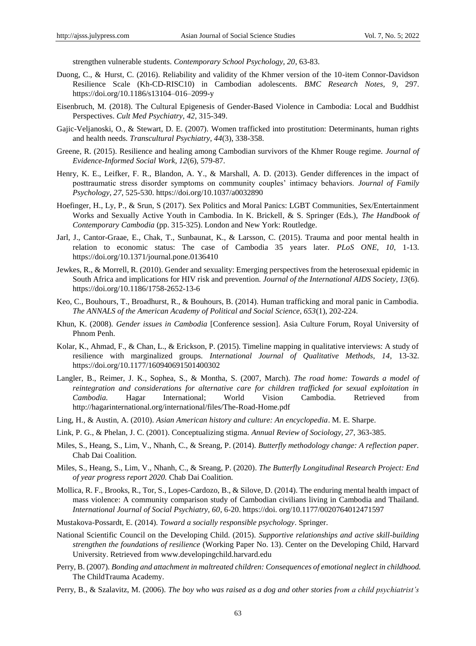strengthen vulnerable students. *Contemporary School Psychology, 20*, 63-83.

- Duong, C., & Hurst, C. (2016). Reliability and validity of the Khmer version of the 10-item Connor-Davidson Resilience Scale (Kh-CD-RISC10) in Cambodian adolescents. *BMC Research Notes, 9*, 297. https://doi.org/10.1186/s13104–016–2099-y
- Eisenbruch, M. (2018). The Cultural Epigenesis of Gender-Based Violence in Cambodia: Local and Buddhist Perspectives. *Cult Med Psychiatry*, *42*, 315-349.
- Gajic-Veljanoski, O., & Stewart, D. E. (2007). Women trafficked into prostitution: Determinants, human rights and health needs. *Transcultural Psychiatry, 44*(3), 338-358.
- Greene, R. (2015). Resilience and healing among Cambodian survivors of the Khmer Rouge regime. *Journal of Evidence-Informed Social Work, 12*(6), 579-87.
- Henry, K. E., Leifker, F. R., Blandon, A. Y., & Marshall, A. D. (2013). Gender differences in the impact of posttraumatic stress disorder symptoms on community couples' intimacy behaviors. *Journal of Family Psychology, 27*, 525-530. https://doi.org/10.1037/a0032890
- Hoefinger, H., Ly, P., & Srun, S (2017). Sex Politics and Moral Panics: LGBT Communities, Sex/Entertainment Works and Sexually Active Youth in Cambodia. In K. Brickell, & S. Springer (Eds.), *The Handbook of Contemporary Cambodia* (pp. 315-325). London and New York: Routledge.
- Jarl, J., Cantor-Graae, E., Chak, T., Sunbaunat, K., & Larsson, C. (2015). Trauma and poor mental health in relation to economic status: The case of Cambodia 35 years later. *PLoS ONE, 10*, 1-13. https://doi.org/10.1371/journal.pone.0136410
- Jewkes, R., & Morrell, R. (2010). Gender and sexuality: Emerging perspectives from the heterosexual epidemic in South Africa and implications for HIV risk and prevention. *Journal of the International AIDS Society, 13*(6). https://doi.org/10.1186/1758-2652-13-6
- Keo, C., Bouhours, T., Broadhurst, R., & Bouhours, B. (2014). Human trafficking and moral panic in Cambodia. *The ANNALS of the American Academy of Political and Social Science, 653*(1), 202-224.
- Khun, K. (2008). *Gender issues in Cambodia* [Conference session]. Asia Culture Forum, Royal University of Phnom Penh.
- Kolar, K., Ahmad, F., & Chan, L., & Erickson, P. (2015). Timeline mapping in qualitative interviews: A study of resilience with marginalized groups. *International Journal of Qualitative Methods, 14*, 13-32. https://doi.org/10.1177/160940691501400302
- Langler, B., Reimer, J. K., Sophea, S., & Montha, S. (2007, March). *The road home: Towards a model of reintegration and considerations for alternative care for children trafficked for sexual exploitation in Cambodia.* Hagar International; World Vision Cambodia. Retrieved from http://hagarinternational.org/international/files/The-Road-Home.pdf
- Ling, H., & Austin, A. (2010). *Asian American history and culture: An encyclopedia*. M. E. Sharpe.
- Link, P. G., & Phelan, J. C. (2001). Conceptualizing stigma. *Annual Review of Sociology, 27*, 363-385.
- Miles, S., Heang, S., Lim, V., Nhanh, C., & Sreang, P. (2014). *Butterfly methodology change: A reflection paper.* Chab Dai Coalition.
- Miles, S., Heang, S., Lim, V., Nhanh, C., & Sreang, P. (2020). *The Butterfly Longitudinal Research Project: End of year progress report 2020.* Chab Dai Coalition.
- Mollica, R. F., Brooks, R., Tor, S., Lopes-Cardozo, B., & Silove, D. (2014). The enduring mental health impact of mass violence: A community comparison study of Cambodian civilians living in Cambodia and Thailand. *International Journal of Social Psychiatry, 60*, 6-20. https://doi. org/10.1177/0020764012471597
- Mustakova-Possardt, E. (2014). *Toward a socially responsible psychology*. Springer.
- National Scientific Council on the Developing Child. (2015). *Supportive relationships and active skill-building strengthen the foundations of resilience* (Working Paper No. 13). Center on the Developing Child, Harvard University. Retrieved from www.developingchild.harvard.edu
- Perry, B. (2007). *Bonding and attachment in maltreated children: Consequences of emotional neglect in childhood.* The ChildTrauma Academy.
- Perry, B., & Szalavitz, M. (2006). *The boy who was raised as a dog and other stories from a child psychiatrist"s*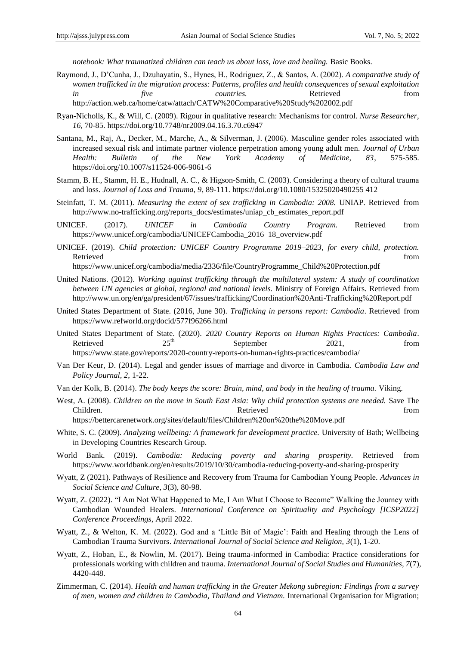*notebook: What traumatized children can teach us about loss, love and healing. Basic Books.* 

- Raymond, J., D'Cunha, J., Dzuhayatin, S., Hynes, H., Rodriguez, Z., & Santos, A. (2002). *A comparative study of women trafficked in the migration process: Patterns, profiles and health consequences of sexual exploitation in five countries.* Retrieved from http://action.web.ca/home/catw/attach/CATW%20Comparative%20Study%202002.pdf
- Ryan-Nicholls, K., & Will, C. (2009). Rigour in qualitative research: Mechanisms for control. *Nurse Researcher, 16*, 70-85. https://doi.org/10.7748/nr2009.04.16.3.70.c6947
- Santana, M., Raj, A., Decker, M., Marche, A., & Silverman, J. (2006). Masculine gender roles associated with increased sexual risk and intimate partner violence perpetration among young adult men. *Journal of Urban Health: Bulletin of the New York Academy of Medicine, 83*, 575-585. https://doi.org/10.1007/s11524-006-9061-6
- Stamm, B. H., Stamm, H. E., Hudnall, A. C., & Higson-Smith, C. (2003). Considering a theory of cultural trauma and loss. *Journal of Loss and Trauma, 9*, 89-111. https://doi.org/10.1080/15325020490255 412
- Steinfatt, T. M. (2011). *Measuring the extent of sex trafficking in Cambodia: 2008.* UNIAP. Retrieved from http://www.no-trafficking.org/reports\_docs/estimates/uniap\_cb\_estimates\_report.pdf
- UNICEF. (2017). *UNICEF in Cambodia Country Program.* Retrieved from https://www.unicef.org/cambodia/UNICEFCambodia\_2016–18\_overview.pdf
- UNICEF. (2019). *Child protection: UNICEF Country Programme 2019–2023, for every child, protection.*  Retrieved that the contract of the contract of the contract of the contract of the contract of the contract of the contract of the contract of the contract of the contract of the contract of the contract of the contract of

https://www.unicef.org/cambodia/media/2336/file/CountryProgramme\_Child%20Protection.pdf

- United Nations. (2012). *Working against trafficking through the multilateral system: A study of coordination between UN agencies at global, regional and national levels.* Ministry of Foreign Affairs. Retrieved from http://www.un.org/en/ga/president/67/issues/trafficking/Coordination%20Anti-Trafficking%20Report.pdf
- United States Department of State. (2016, June 30). *Trafficking in persons report: Cambodia*. Retrieved from https://www.refworld.org/docid/577f96266.html
- United States Department of State. (2020). *2020 Country Reports on Human Rights Practices: Cambodia*. Retrieved  $25<sup>th</sup>$  September  $2021$ , from https://www.state.gov/reports/2020-country-reports-on-human-rights-practices/cambodia/
- Van Der Keur, D. (2014). Legal and gender issues of marriage and divorce in Cambodia. *Cambodia Law and Policy Journal, 2*, 1-22.
- Van der Kolk, B. (2014). *The body keeps the score: Brain, mind, and body in the healing of trauma.* Viking.
- West, A. (2008). *Children on the move in South East Asia: Why child protection systems are needed.* Save The Children. **Retrieved** from **Retrieved** from **Retrieved** from *Retrieved* from *Retrieved* https://bettercarenetwork.org/sites/default/files/Children%20on%20the%20Move.pdf
- White, S. C. (2009). *Analyzing wellbeing: A framework for development practice.* University of Bath; Wellbeing in Developing Countries Research Group.
- World Bank. (2019). *Cambodia: Reducing poverty and sharing prosperity.* Retrieved from https://www.worldbank.org/en/results/2019/10/30/cambodia-reducing-poverty-and-sharing-prosperity
- Wyatt, Z (2021). Pathways of Resilience and Recovery from Trauma for Cambodian Young People. *Advances in Social Science and Culture, 3*(3), 80-98.
- Wyatt, Z. (2022). "I Am Not What Happened to Me, I Am What I Choose to Become" Walking the Journey with Cambodian Wounded Healers. *International Conference on Spirituality and Psychology [ICSP2022] Conference Proceedings*, April 2022.
- Wyatt, Z., & Welton, K. M. (2022). God and a 'Little Bit of Magic': Faith and Healing through the Lens of Cambodian Trauma Survivors. *International Journal of Social Science and Religion, 3*(1), 1-20.
- Wyatt, Z., Hoban, E., & Nowlin, M. (2017). Being trauma-informed in Cambodia: Practice considerations for professionals working with children and trauma. *International Journal of Social Studies and Humanities, 7*(7), 4420-448.
- Zimmerman, C. (2014). *Health and human trafficking in the Greater Mekong subregion: Findings from a survey of men, women and children in Cambodia, Thailand and Vietnam.* International Organisation for Migration;